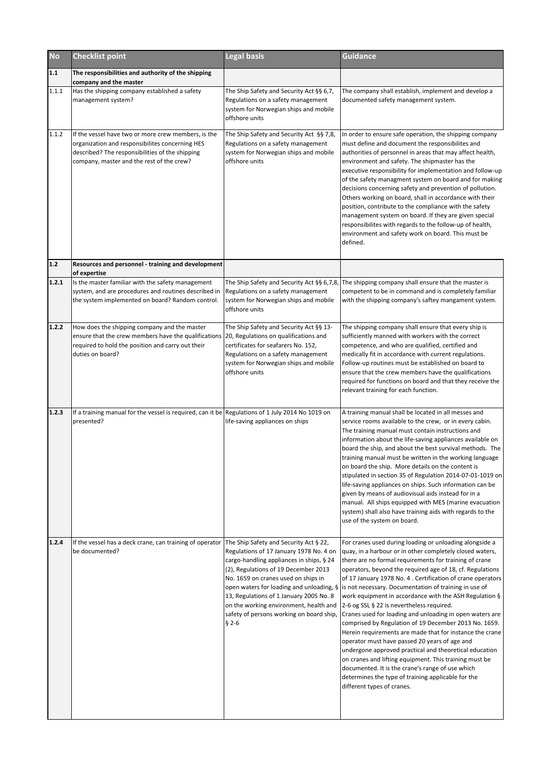| <b>No</b> | <b>Checklist point</b>                                                                                                                                                                                              | <b>Legal basis</b>                                                                                                                                                                                                                                                                                             | <b>Guidance</b>                                                                                                                                                                                                                                                                                                                                                                                                                                                                                                                                                                                                                                                                                                                                                                                                                                                                                                                                                                                                              |
|-----------|---------------------------------------------------------------------------------------------------------------------------------------------------------------------------------------------------------------------|----------------------------------------------------------------------------------------------------------------------------------------------------------------------------------------------------------------------------------------------------------------------------------------------------------------|------------------------------------------------------------------------------------------------------------------------------------------------------------------------------------------------------------------------------------------------------------------------------------------------------------------------------------------------------------------------------------------------------------------------------------------------------------------------------------------------------------------------------------------------------------------------------------------------------------------------------------------------------------------------------------------------------------------------------------------------------------------------------------------------------------------------------------------------------------------------------------------------------------------------------------------------------------------------------------------------------------------------------|
| 1.1       | The responsibilities and authority of the shipping<br>company and the master                                                                                                                                        |                                                                                                                                                                                                                                                                                                                |                                                                                                                                                                                                                                                                                                                                                                                                                                                                                                                                                                                                                                                                                                                                                                                                                                                                                                                                                                                                                              |
| 1.1.1     | Has the shipping company established a safety<br>management system?                                                                                                                                                 | The Ship Safety and Security Act §§ 6,7,<br>Regulations on a safety management<br>system for Norwegian ships and mobile<br>offshore units                                                                                                                                                                      | The company shall establish, implement and develop a<br>documented safety management system.                                                                                                                                                                                                                                                                                                                                                                                                                                                                                                                                                                                                                                                                                                                                                                                                                                                                                                                                 |
| 1.1.2     | If the vessel have two or more crew members, is the<br>organization and responsibilites concerning HES<br>described? The responsibilities of the shipping<br>company, master and the rest of the crew?              | The Ship Safety and Security Act §§ 7,8,<br>Regulations on a safety management<br>system for Norwegian ships and mobile<br>offshore units                                                                                                                                                                      | In order to ensure safe operation, the shipping company<br>must define and document the responsibilites and<br>authorities of personnel in areas that may affect health,<br>environment and safety. The shipmaster has the<br>executive responsibility for implementation and follow-up<br>of the safety managment system on board and for making<br>decisions concerning safety and prevention of pollution.<br>Others working on board, shall in accordance with their<br>position, contribute to the compliance with the safety<br>management system on board. If they are given special<br>responsibilites with regards to the follow-up of health,<br>environment and safety work on board. This must be<br>defined.                                                                                                                                                                                                                                                                                                    |
| 1.2       | Resources and personnel - training and development<br>of expertise                                                                                                                                                  |                                                                                                                                                                                                                                                                                                                |                                                                                                                                                                                                                                                                                                                                                                                                                                                                                                                                                                                                                                                                                                                                                                                                                                                                                                                                                                                                                              |
| 1.2.1     | Is the master familiar with the safety management<br>system, and are procedures and routines described in<br>the system implemented on board? Random control.                                                       | Regulations on a safety management<br>system for Norwegian ships and mobile<br>offshore units                                                                                                                                                                                                                  | The Ship Safety and Security Act §§ 6,7,8, The shipping company shall ensure that the master is<br>competent to be in command and is completely familiar<br>with the shipping company's saftey mangament system.                                                                                                                                                                                                                                                                                                                                                                                                                                                                                                                                                                                                                                                                                                                                                                                                             |
| 1.2.2     | How does the shipping company and the master<br>ensure that the crew members have the qualifications 20, Regulations on qualifications and<br>required to hold the position and carry out their<br>duties on board? | The Ship Safety and Security Act §§ 13-<br>certificates for seafarers No. 152,<br>Regulations on a safety management<br>system for Norwegian ships and mobile<br>offshore units                                                                                                                                | The shipping company shall ensure that every ship is<br>sufficiently manned with workers with the correct<br>competence, and who are qualified, certified and<br>medically fit in accordance with current regulations.<br>Follow-up routines must be established on board to<br>ensure that the crew members have the qualifications<br>required for functions on board and that they receive the<br>relevant training for each function.                                                                                                                                                                                                                                                                                                                                                                                                                                                                                                                                                                                    |
| 1.2.3     | If a training manual for the vessel is required, can it be Regulations of 1 July 2014 No 1019 on<br>presented?                                                                                                      | life-saving appliances on ships                                                                                                                                                                                                                                                                                | A training manual shall be located in all messes and<br>service rooms available to the crew, or in every cabin.<br>The training manual must contain instructions and<br>information about the life-saving appliances available on<br>board the ship, and about the best survival methods. The<br>training manual must be written in the working language<br>on board the ship. More details on the content is<br>stipulated in section 35 of Regulation 2014-07-01-1019 on<br>life-saving appliances on ships. Such information can be<br>given by means of audiovisual aids instead for in a<br>manual. All ships equipped with MES (marine evacuation<br>system) shall also have training aids with regards to the<br>use of the system on board.                                                                                                                                                                                                                                                                          |
| 1.2.4     | If the vessel has a deck crane, can training of operator The Ship Safety and Security Act § 22,<br>be documented?                                                                                                   | Regulations of 17 January 1978 No. 4 on<br>cargo-handling appliances in ships, § 24<br>(2), Regulations of 19 December 2013<br>No. 1659 on cranes used on ships in<br>13, Regulations of 1 January 2005 No. 8<br>on the working environment, health and<br>safety of persons working on board ship,<br>$§ 2-6$ | For cranes used during loading or unloading alongside a<br>quay, in a harbour or in other completely closed waters,<br>there are no formal requirements for training of crane<br>operators, beyond the required age of 18, cf. Regulations<br>of 17 January 1978 No. 4 . Certification of crane operators<br>open waters for loading and unloading, $\frac{1}{2}$ is not necessary. Documentation of training in use of<br>work equipment in accordance with the ASH Regulation §<br>2-6 og SSL § 22 is nevertheless required.<br>Cranes used for loading and unloading in open waters are<br>comprised by Regulation of 19 December 2013 No. 1659.<br>Herein requirements are made that for instance the crane<br>operator must have passed 20 years of age and<br>undergone approved practical and theoretical education<br>on cranes and lifting equipment. This training must be<br>documented. It is the crane's range of use which<br>determines the type of training applicable for the<br>different types of cranes. |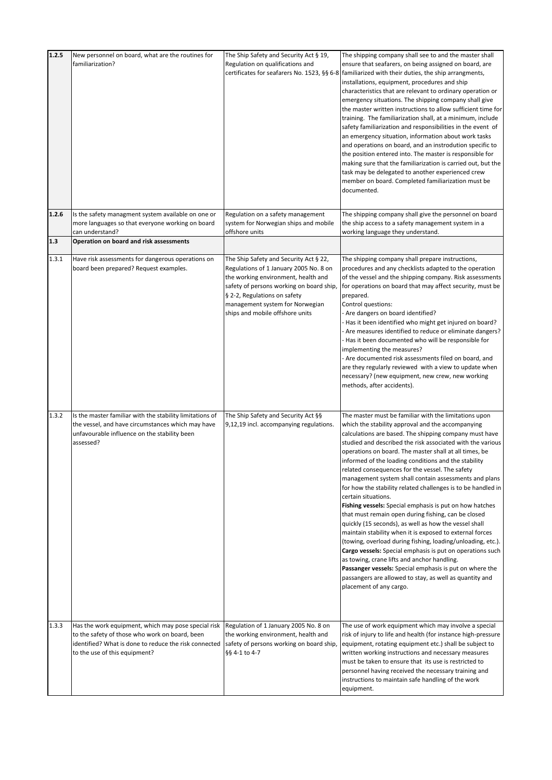| 1.2.5 | New personnel on board, what are the routines for<br>familiarization?                                                                                                                           | The Ship Safety and Security Act § 19,<br>Regulation on qualifications and<br>certificates for seafarers No. 1523, §§ 6-8                                                                                                                                                 | The shipping company shall see to and the master shall<br>ensure that seafarers, on being assigned on board, are<br>familiarized with their duties, the ship arrangments,<br>installations, equipment, procedures and ship<br>characteristics that are relevant to ordinary operation or<br>emergency situations. The shipping company shall give<br>the master written instructions to allow sufficient time for<br>training. The familiarization shall, at a minimum, include<br>safety familiarization and responsibilities in the event of<br>an emergency situation, information about work tasks<br>and operations on board, and an instrodution specific to<br>the position entered into. The master is responsible for<br>making sure that the familiarization is carried out, but the<br>task may be delegated to another experienced crew<br>member on board. Completed familiarization must be<br>documented.                                                                                                                                                                                                   |
|-------|-------------------------------------------------------------------------------------------------------------------------------------------------------------------------------------------------|---------------------------------------------------------------------------------------------------------------------------------------------------------------------------------------------------------------------------------------------------------------------------|----------------------------------------------------------------------------------------------------------------------------------------------------------------------------------------------------------------------------------------------------------------------------------------------------------------------------------------------------------------------------------------------------------------------------------------------------------------------------------------------------------------------------------------------------------------------------------------------------------------------------------------------------------------------------------------------------------------------------------------------------------------------------------------------------------------------------------------------------------------------------------------------------------------------------------------------------------------------------------------------------------------------------------------------------------------------------------------------------------------------------|
| 1.2.6 | Is the safety managment system available on one or<br>more languages so that everyone working on board<br>can understand?                                                                       | Regulation on a safety management<br>system for Norwegian ships and mobile<br>offshore units                                                                                                                                                                              | The shipping company shall give the personnel on board<br>the ship access to a safety management system in a<br>working language they understand.                                                                                                                                                                                                                                                                                                                                                                                                                                                                                                                                                                                                                                                                                                                                                                                                                                                                                                                                                                          |
| $1.3$ | Operation on board and risk assessments                                                                                                                                                         |                                                                                                                                                                                                                                                                           |                                                                                                                                                                                                                                                                                                                                                                                                                                                                                                                                                                                                                                                                                                                                                                                                                                                                                                                                                                                                                                                                                                                            |
| 1.3.1 | Have risk assessments for dangerous operations on<br>board been prepared? Request examples.                                                                                                     | The Ship Safety and Security Act § 22,<br>Regulations of 1 January 2005 No. 8 on<br>the working environment, health and<br>safety of persons working on board ship,<br>§ 2-2, Regulations on safety<br>management system for Norwegian<br>ships and mobile offshore units | The shipping company shall prepare instructions,<br>procedures and any checklists adapted to the operation<br>of the vessel and the shipping company. Risk assessments<br>for operations on board that may affect security, must be<br>prepared.<br>Control questions:<br>Are dangers on board identified?<br>Has it been identified who might get injured on board?<br>- Are measures identified to reduce or eliminate dangers?<br>- Has it been documented who will be responsible for<br>implementing the measures?<br>- Are documented risk assessments filed on board, and<br>are they regularly reviewed with a view to update when<br>necessary? (new equipment, new crew, new working<br>methods, after accidents).                                                                                                                                                                                                                                                                                                                                                                                               |
| 1.3.2 | Is the master familiar with the stability limitations of<br>the vessel, and have circumstances which may have<br>unfavourable influence on the stability been<br>assessed?                      | The Ship Safety and Security Act §§<br>9,12,19 incl. accompanying regulations.                                                                                                                                                                                            | The master must be familiar with the limitations upon<br>which the stability approval and the accompanying<br>calculations are based. The shipping company must have<br>studied and described the risk associated with the various<br>operations on board. The master shall at all times, be<br>informed of the loading conditions and the stability<br>related consequences for the vessel. The safety<br>management system shall contain assessments and plans<br>for how the stability related challenges is to be handled in<br>certain situations.<br>Fishing vessels: Special emphasis is put on how hatches<br>that must remain open during fishing, can be closed<br>quickly (15 seconds), as well as how the vessel shall<br>maintain stability when it is exposed to external forces<br>(towing, overload during fishing, loading/unloading, etc.).<br>Cargo vessels: Special emphasis is put on operations such<br>as towing, crane lifts and anchor handling.<br>Passanger vessels: Special emphasis is put on where the<br>passangers are allowed to stay, as well as quantity and<br>placement of any cargo. |
| 1.3.3 | Has the work equipment, which may pose special risk<br>to the safety of those who work on board, been<br>identified? What is done to reduce the risk connected<br>to the use of this equipment? | Regulation of 1 January 2005 No. 8 on<br>the working environment, health and<br>safety of persons working on board ship,<br>§§ 4-1 to 4-7                                                                                                                                 | The use of work equipment which may involve a special<br>risk of injury to life and health (for instance high-pressure<br>equipment, rotating equipment etc.) shall be subject to<br>written working instructions and necessary measures<br>must be taken to ensure that its use is restricted to<br>personnel having received the necessary training and<br>instructions to maintain safe handling of the work<br>equipment.                                                                                                                                                                                                                                                                                                                                                                                                                                                                                                                                                                                                                                                                                              |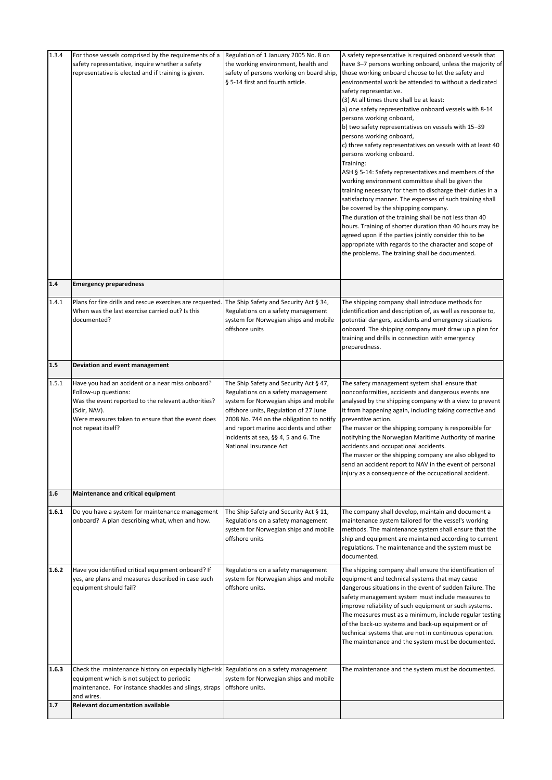| 1.3.4 | For those vessels comprised by the requirements of a<br>safety representative, inquire whether a safety<br>representative is elected and if training is given.                                                             | Regulation of 1 January 2005 No. 8 on<br>the working environment, health and<br>safety of persons working on board ship,<br>§ 5-14 first and fourth article.                                                                                                                                                          | A safety representative is required onboard vessels that<br>have 3-7 persons working onboard, unless the majority of<br>those working onboard choose to let the safety and<br>environmental work be attended to without a dedicated<br>safety representative.<br>(3) At all times there shall be at least:<br>a) one safety representative onboard vessels with 8-14<br>persons working onboard,<br>b) two safety representatives on vessels with 15-39<br>persons working onboard,<br>c) three safety representatives on vessels with at least 40<br>persons working onboard.<br>Training:<br>ASH § 5-14: Safety representatives and members of the<br>working environment committee shall be given the<br>training necessary for them to discharge their duties in a<br>satisfactory manner. The expenses of such training shall<br>be covered by the shippping company.<br>The duration of the training shall be not less than 40<br>hours. Training of shorter duration than 40 hours may be<br>agreed upon if the parties jointly consider this to be<br>appropriate with regards to the character and scope of<br>the problems. The training shall be documented. |
|-------|----------------------------------------------------------------------------------------------------------------------------------------------------------------------------------------------------------------------------|-----------------------------------------------------------------------------------------------------------------------------------------------------------------------------------------------------------------------------------------------------------------------------------------------------------------------|-------------------------------------------------------------------------------------------------------------------------------------------------------------------------------------------------------------------------------------------------------------------------------------------------------------------------------------------------------------------------------------------------------------------------------------------------------------------------------------------------------------------------------------------------------------------------------------------------------------------------------------------------------------------------------------------------------------------------------------------------------------------------------------------------------------------------------------------------------------------------------------------------------------------------------------------------------------------------------------------------------------------------------------------------------------------------------------------------------------------------------------------------------------------------|
| 1.4   | <b>Emergency preparedness</b>                                                                                                                                                                                              |                                                                                                                                                                                                                                                                                                                       |                                                                                                                                                                                                                                                                                                                                                                                                                                                                                                                                                                                                                                                                                                                                                                                                                                                                                                                                                                                                                                                                                                                                                                         |
| 1.4.1 | Plans for fire drills and rescue exercises are requested. The Ship Safety and Security Act § 34,<br>When was the last exercise carried out? Is this<br>documented?                                                         | Regulations on a safety management<br>system for Norwegian ships and mobile<br>offshore units                                                                                                                                                                                                                         | The shipping company shall introduce methods for<br>identification and description of, as well as response to,<br>potential dangers, accidents and emergency situations<br>onboard. The shipping company must draw up a plan for<br>training and drills in connection with emergency<br>preparedness.                                                                                                                                                                                                                                                                                                                                                                                                                                                                                                                                                                                                                                                                                                                                                                                                                                                                   |
| 1.5   | Deviation and event management                                                                                                                                                                                             |                                                                                                                                                                                                                                                                                                                       |                                                                                                                                                                                                                                                                                                                                                                                                                                                                                                                                                                                                                                                                                                                                                                                                                                                                                                                                                                                                                                                                                                                                                                         |
| 1.5.1 | Have you had an accident or a near miss onboard?<br>Follow-up questions:<br>Was the event reported to the relevant authorities?<br>(Sdir, NAV).<br>Were measures taken to ensure that the event does<br>not repeat itself? | The Ship Safety and Security Act § 47,<br>Regulations on a safety management<br>system for Norwegian ships and mobile<br>offshore units, Regulation of 27 June<br>2008 No. 744 on the obligation to notify<br>and report marine accidents and other<br>incidents at sea, §§ 4, 5 and 6. The<br>National Insurance Act | The safety management system shall ensure that<br>nonconformities, accidents and dangerous events are<br>analysed by the shipping company with a view to prevent<br>it from happening again, including taking corrective and<br>preventive action.<br>The master or the shipping company is responsible for<br>notifyhing the Norwegian Maritime Authority of marine<br>accidents and occupational accidents.<br>The master or the shipping company are also obliged to<br>send an accident report to NAV in the event of personal<br>injury as a consequence of the occupational accident.                                                                                                                                                                                                                                                                                                                                                                                                                                                                                                                                                                             |
| 1.6   | Maintenance and critical equipment                                                                                                                                                                                         |                                                                                                                                                                                                                                                                                                                       |                                                                                                                                                                                                                                                                                                                                                                                                                                                                                                                                                                                                                                                                                                                                                                                                                                                                                                                                                                                                                                                                                                                                                                         |
| 1.6.1 | Do you have a system for maintenance management<br>onboard? A plan describing what, when and how.                                                                                                                          | The Ship Safety and Security Act § 11,<br>Regulations on a safety management<br>system for Norwegian ships and mobile<br>offshore units                                                                                                                                                                               | The company shall develop, maintain and document a<br>maintenance system tailored for the vessel's working<br>methods. The maintenance system shall ensure that the<br>ship and equipment are maintained according to current<br>regulations. The maintenance and the system must be<br>documented.                                                                                                                                                                                                                                                                                                                                                                                                                                                                                                                                                                                                                                                                                                                                                                                                                                                                     |
| 1.6.2 | Have you identified critical equipment onboard? If<br>yes, are plans and measures described in case such<br>equipment should fail?                                                                                         | Regulations on a safety management<br>system for Norwegian ships and mobile<br>offshore units.                                                                                                                                                                                                                        | The shipping company shall ensure the identification of<br>equipment and technical systems that may cause<br>dangerous situations in the event of sudden failure. The<br>safety management system must include measures to<br>improve reliability of such equipment or such systems.<br>The measures must as a minimum, include regular testing<br>of the back-up systems and back-up equipment or of<br>technical systems that are not in continuous operation.<br>The maintenance and the system must be documented.                                                                                                                                                                                                                                                                                                                                                                                                                                                                                                                                                                                                                                                  |
| 1.6.3 | Check the maintenance history on especially high-risk Regulations on a safety management<br>equipment which is not subject to periodic<br>maintenance. For instance shackles and slings, straps<br>and wires.              | system for Norwegian ships and mobile<br>offshore units.                                                                                                                                                                                                                                                              | The maintenance and the system must be documented.                                                                                                                                                                                                                                                                                                                                                                                                                                                                                                                                                                                                                                                                                                                                                                                                                                                                                                                                                                                                                                                                                                                      |
| 1.7   | <b>Relevant documentation available</b>                                                                                                                                                                                    |                                                                                                                                                                                                                                                                                                                       |                                                                                                                                                                                                                                                                                                                                                                                                                                                                                                                                                                                                                                                                                                                                                                                                                                                                                                                                                                                                                                                                                                                                                                         |